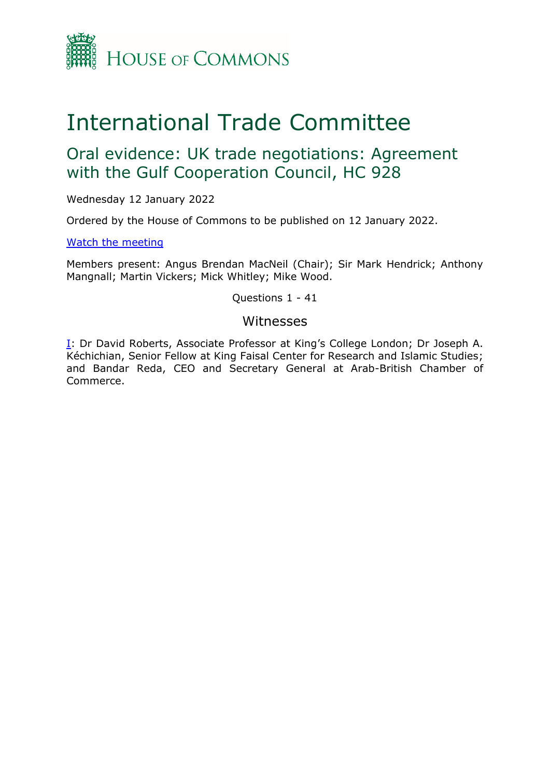

# International Trade Committee

## Oral evidence: UK trade negotiations: Agreement with the Gulf Cooperation Council, HC 928

Wednesday 12 January 2022

Ordered by the House of Commons to be published on 12 January 2022.

[Watch the meeting](https://www.parliamentlive.tv/Event/Index/3149e742-56ec-40e8-bdd0-e5eeb4500c21)

Members present: Angus Brendan MacNeil (Chair); Sir Mark Hendrick; Anthony Mangnall; Martin Vickers; Mick Whitley; Mike Wood.

Questions 1 - 41

## Witnesses

[I:](#page-1-0) Dr David Roberts, Associate Professor at King's College London; Dr Joseph A. Kéchichian, Senior Fellow at King Faisal Center for Research and Islamic Studies; and Bandar Reda, CEO and Secretary General at Arab-British Chamber of Commerce.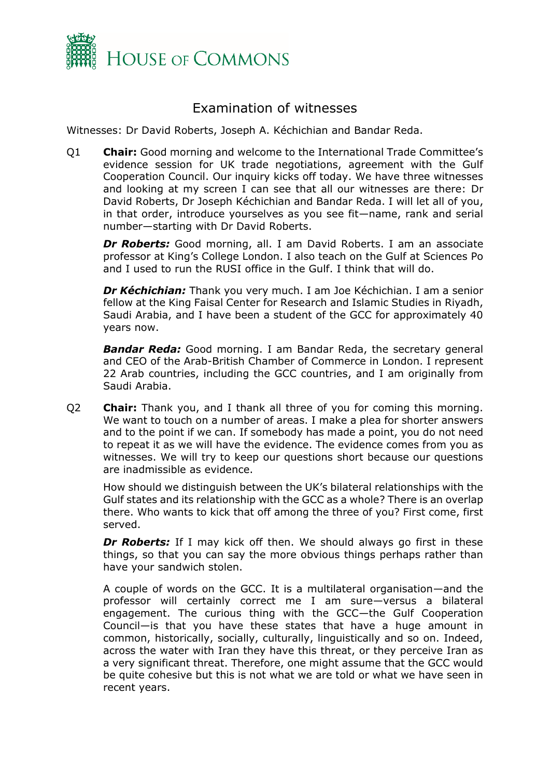

## Examination of witnesses

<span id="page-1-0"></span>Witnesses: Dr David Roberts, Joseph A. Kéchichian and Bandar Reda.

Q1 **Chair:** Good morning and welcome to the International Trade Committee's evidence session for UK trade negotiations, agreement with the Gulf Cooperation Council. Our inquiry kicks off today. We have three witnesses and looking at my screen I can see that all our witnesses are there: Dr David Roberts, Dr Joseph Kéchichian and Bandar Reda. I will let all of you, in that order, introduce yourselves as you see fit—name, rank and serial number—starting with Dr David Roberts.

*Dr Roberts:* Good morning, all. I am David Roberts. I am an associate professor at King's College London. I also teach on the Gulf at Sciences Po and I used to run the RUSI office in the Gulf. I think that will do.

*Dr Kéchichian:* Thank you very much. I am Joe Kéchichian. I am a senior fellow at the King Faisal Center for Research and Islamic Studies in Riyadh, Saudi Arabia, and I have been a student of the GCC for approximately 40 years now.

*Bandar Reda:* Good morning. I am Bandar Reda, the secretary general and CEO of the Arab-British Chamber of Commerce in London. I represent 22 Arab countries, including the GCC countries, and I am originally from Saudi Arabia.

Q2 **Chair:** Thank you, and I thank all three of you for coming this morning. We want to touch on a number of areas. I make a plea for shorter answers and to the point if we can. If somebody has made a point, you do not need to repeat it as we will have the evidence. The evidence comes from you as witnesses. We will try to keep our questions short because our questions are inadmissible as evidence.

How should we distinguish between the UK's bilateral relationships with the Gulf states and its relationship with the GCC as a whole? There is an overlap there. Who wants to kick that off among the three of you? First come, first served.

**Dr Roberts:** If I may kick off then. We should always go first in these things, so that you can say the more obvious things perhaps rather than have your sandwich stolen.

A couple of words on the GCC. It is a multilateral organisation—and the professor will certainly correct me I am sure—versus a bilateral engagement. The curious thing with the GCC—the Gulf Cooperation Council—is that you have these states that have a huge amount in common, historically, socially, culturally, linguistically and so on. Indeed, across the water with Iran they have this threat, or they perceive Iran as a very significant threat. Therefore, one might assume that the GCC would be quite cohesive but this is not what we are told or what we have seen in recent years.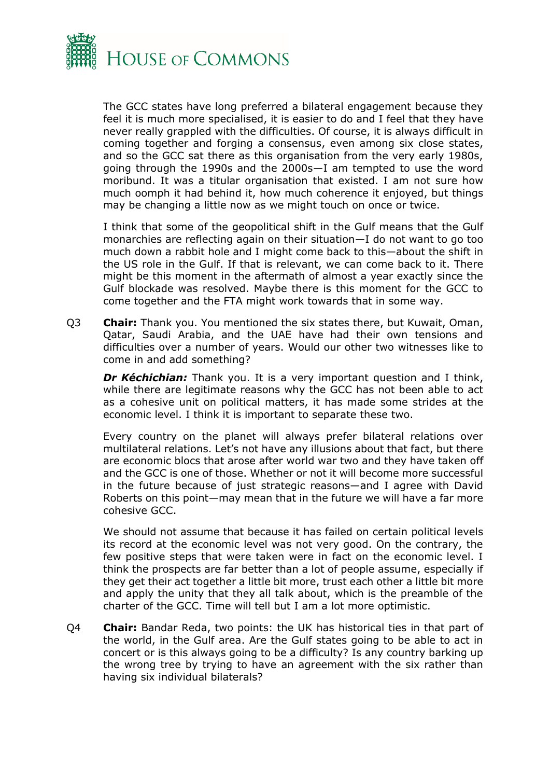

The GCC states have long preferred a bilateral engagement because they feel it is much more specialised, it is easier to do and I feel that they have never really grappled with the difficulties. Of course, it is always difficult in coming together and forging a consensus, even among six close states, and so the GCC sat there as this organisation from the very early 1980s, going through the 1990s and the 2000s—I am tempted to use the word moribund. It was a titular organisation that existed. I am not sure how much oomph it had behind it, how much coherence it enjoyed, but things may be changing a little now as we might touch on once or twice.

I think that some of the geopolitical shift in the Gulf means that the Gulf monarchies are reflecting again on their situation—I do not want to go too much down a rabbit hole and I might come back to this—about the shift in the US role in the Gulf. If that is relevant, we can come back to it. There might be this moment in the aftermath of almost a year exactly since the Gulf blockade was resolved. Maybe there is this moment for the GCC to come together and the FTA might work towards that in some way.

Q3 **Chair:** Thank you. You mentioned the six states there, but Kuwait, Oman, Qatar, Saudi Arabia, and the UAE have had their own tensions and difficulties over a number of years. Would our other two witnesses like to come in and add something?

*Dr Kéchichian:* Thank you. It is a very important question and I think, while there are legitimate reasons why the GCC has not been able to act as a cohesive unit on political matters, it has made some strides at the economic level. I think it is important to separate these two.

Every country on the planet will always prefer bilateral relations over multilateral relations. Let's not have any illusions about that fact, but there are economic blocs that arose after world war two and they have taken off and the GCC is one of those. Whether or not it will become more successful in the future because of just strategic reasons—and I agree with David Roberts on this point—may mean that in the future we will have a far more cohesive GCC.

We should not assume that because it has failed on certain political levels its record at the economic level was not very good. On the contrary, the few positive steps that were taken were in fact on the economic level. I think the prospects are far better than a lot of people assume, especially if they get their act together a little bit more, trust each other a little bit more and apply the unity that they all talk about, which is the preamble of the charter of the GCC. Time will tell but I am a lot more optimistic.

Q4 **Chair:** Bandar Reda, two points: the UK has historical ties in that part of the world, in the Gulf area. Are the Gulf states going to be able to act in concert or is this always going to be a difficulty? Is any country barking up the wrong tree by trying to have an agreement with the six rather than having six individual bilaterals?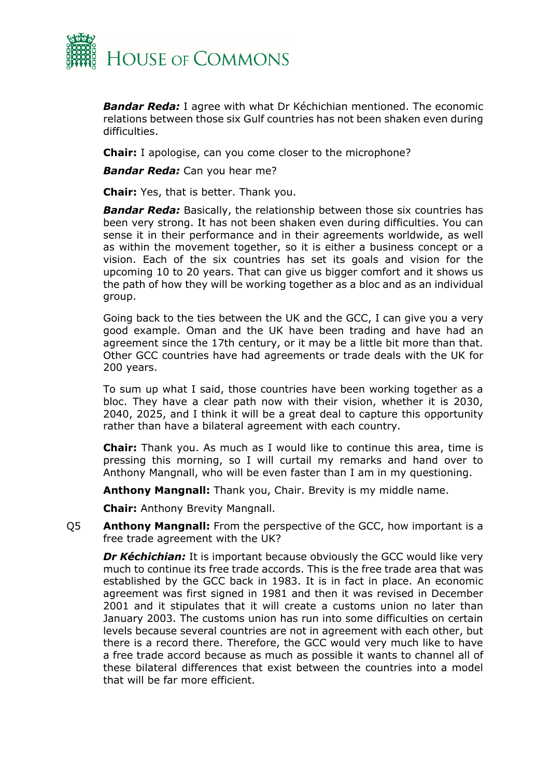

*Bandar Reda:* I agree with what Dr Kéchichian mentioned. The economic relations between those six Gulf countries has not been shaken even during difficulties.

**Chair:** I apologise, can you come closer to the microphone?

*Bandar Reda:* Can you hear me?

**Chair:** Yes, that is better. Thank you.

*Bandar Reda:* Basically, the relationship between those six countries has been very strong. It has not been shaken even during difficulties. You can sense it in their performance and in their agreements worldwide, as well as within the movement together, so it is either a business concept or a vision. Each of the six countries has set its goals and vision for the upcoming 10 to 20 years. That can give us bigger comfort and it shows us the path of how they will be working together as a bloc and as an individual group.

Going back to the ties between the UK and the GCC, I can give you a very good example. Oman and the UK have been trading and have had an agreement since the 17th century, or it may be a little bit more than that. Other GCC countries have had agreements or trade deals with the UK for 200 years.

To sum up what I said, those countries have been working together as a bloc. They have a clear path now with their vision, whether it is 2030, 2040, 2025, and I think it will be a great deal to capture this opportunity rather than have a bilateral agreement with each country.

**Chair:** Thank you. As much as I would like to continue this area, time is pressing this morning, so I will curtail my remarks and hand over to Anthony Mangnall, who will be even faster than I am in my questioning.

**Anthony Mangnall:** Thank you, Chair. Brevity is my middle name.

**Chair:** Anthony Brevity Mangnall.

Q5 **Anthony Mangnall:** From the perspective of the GCC, how important is a free trade agreement with the UK?

*Dr Kéchichian:* It is important because obviously the GCC would like very much to continue its free trade accords. This is the free trade area that was established by the GCC back in 1983. It is in fact in place. An economic agreement was first signed in 1981 and then it was revised in December 2001 and it stipulates that it will create a customs union no later than January 2003. The customs union has run into some difficulties on certain levels because several countries are not in agreement with each other, but there is a record there. Therefore, the GCC would very much like to have a free trade accord because as much as possible it wants to channel all of these bilateral differences that exist between the countries into a model that will be far more efficient.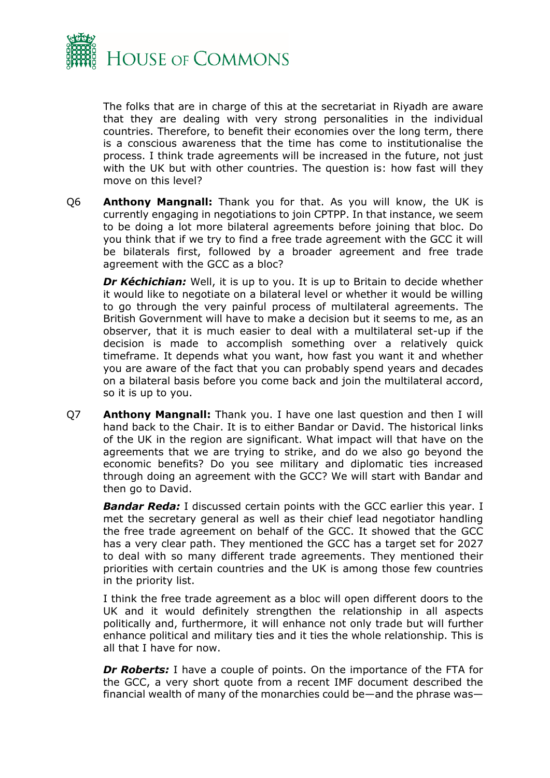

The folks that are in charge of this at the secretariat in Riyadh are aware that they are dealing with very strong personalities in the individual countries. Therefore, to benefit their economies over the long term, there is a conscious awareness that the time has come to institutionalise the process. I think trade agreements will be increased in the future, not just with the UK but with other countries. The question is: how fast will they move on this level?

Q6 **Anthony Mangnall:** Thank you for that. As you will know, the UK is currently engaging in negotiations to join CPTPP. In that instance, we seem to be doing a lot more bilateral agreements before joining that bloc. Do you think that if we try to find a free trade agreement with the GCC it will be bilaterals first, followed by a broader agreement and free trade agreement with the GCC as a bloc?

*Dr Kéchichian:* Well, it is up to you. It is up to Britain to decide whether it would like to negotiate on a bilateral level or whether it would be willing to go through the very painful process of multilateral agreements. The British Government will have to make a decision but it seems to me, as an observer, that it is much easier to deal with a multilateral set-up if the decision is made to accomplish something over a relatively quick timeframe. It depends what you want, how fast you want it and whether you are aware of the fact that you can probably spend years and decades on a bilateral basis before you come back and join the multilateral accord, so it is up to you.

Q7 **Anthony Mangnall:** Thank you. I have one last question and then I will hand back to the Chair. It is to either Bandar or David. The historical links of the UK in the region are significant. What impact will that have on the agreements that we are trying to strike, and do we also go beyond the economic benefits? Do you see military and diplomatic ties increased through doing an agreement with the GCC? We will start with Bandar and then go to David.

**Bandar Reda:** I discussed certain points with the GCC earlier this year. I met the secretary general as well as their chief lead negotiator handling the free trade agreement on behalf of the GCC. It showed that the GCC has a very clear path. They mentioned the GCC has a target set for 2027 to deal with so many different trade agreements. They mentioned their priorities with certain countries and the UK is among those few countries in the priority list.

I think the free trade agreement as a bloc will open different doors to the UK and it would definitely strengthen the relationship in all aspects politically and, furthermore, it will enhance not only trade but will further enhance political and military ties and it ties the whole relationship. This is all that I have for now.

**Dr Roberts:** I have a couple of points. On the importance of the FTA for the GCC, a very short quote from a recent IMF document described the financial wealth of many of the monarchies could be—and the phrase was—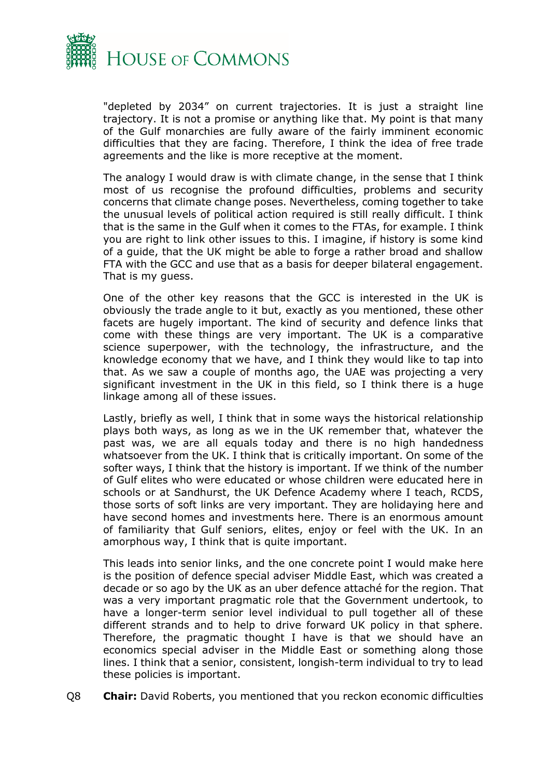

"depleted by 2034" on current trajectories. It is just a straight line trajectory. It is not a promise or anything like that. My point is that many of the Gulf monarchies are fully aware of the fairly imminent economic difficulties that they are facing. Therefore, I think the idea of free trade agreements and the like is more receptive at the moment.

The analogy I would draw is with climate change, in the sense that I think most of us recognise the profound difficulties, problems and security concerns that climate change poses. Nevertheless, coming together to take the unusual levels of political action required is still really difficult. I think that is the same in the Gulf when it comes to the FTAs, for example. I think you are right to link other issues to this. I imagine, if history is some kind of a guide, that the UK might be able to forge a rather broad and shallow FTA with the GCC and use that as a basis for deeper bilateral engagement. That is my guess.

One of the other key reasons that the GCC is interested in the UK is obviously the trade angle to it but, exactly as you mentioned, these other facets are hugely important. The kind of security and defence links that come with these things are very important. The UK is a comparative science superpower, with the technology, the infrastructure, and the knowledge economy that we have, and I think they would like to tap into that. As we saw a couple of months ago, the UAE was projecting a very significant investment in the UK in this field, so I think there is a huge linkage among all of these issues.

Lastly, briefly as well, I think that in some ways the historical relationship plays both ways, as long as we in the UK remember that, whatever the past was, we are all equals today and there is no high handedness whatsoever from the UK. I think that is critically important. On some of the softer ways, I think that the history is important. If we think of the number of Gulf elites who were educated or whose children were educated here in schools or at Sandhurst, the UK Defence Academy where I teach, RCDS, those sorts of soft links are very important. They are holidaying here and have second homes and investments here. There is an enormous amount of familiarity that Gulf seniors, elites, enjoy or feel with the UK. In an amorphous way, I think that is quite important.

This leads into senior links, and the one concrete point I would make here is the position of defence special adviser Middle East, which was created a decade or so ago by the UK as an uber defence attaché for the region. That was a very important pragmatic role that the Government undertook, to have a longer-term senior level individual to pull together all of these different strands and to help to drive forward UK policy in that sphere. Therefore, the pragmatic thought I have is that we should have an economics special adviser in the Middle East or something along those lines. I think that a senior, consistent, longish-term individual to try to lead these policies is important.

Q8 **Chair:** David Roberts, you mentioned that you reckon economic difficulties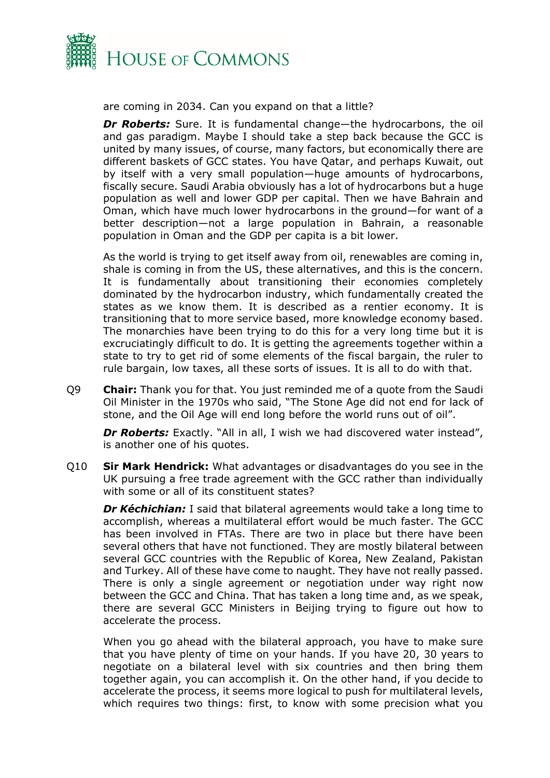

are coming in 2034. Can you expand on that a little?

**Dr Roberts:** Sure. It is fundamental change—the hydrocarbons, the oil and gas paradigm. Maybe I should take a step back because the GCC is united by many issues, of course, many factors, but economically there are different baskets of GCC states. You have Qatar, and perhaps Kuwait, out by itself with a very small population—huge amounts of hydrocarbons, fiscally secure. Saudi Arabia obviously has a lot of hydrocarbons but a huge population as well and lower GDP per capital. Then we have Bahrain and Oman, which have much lower hydrocarbons in the ground—for want of a better description—not a large population in Bahrain, a reasonable population in Oman and the GDP per capita is a bit lower.

As the world is trying to get itself away from oil, renewables are coming in, shale is coming in from the US, these alternatives, and this is the concern. It is fundamentally about transitioning their economies completely dominated by the hydrocarbon industry, which fundamentally created the states as we know them. It is described as a rentier economy. It is transitioning that to more service based, more knowledge economy based. The monarchies have been trying to do this for a very long time but it is excruciatingly difficult to do. It is getting the agreements together within a state to try to get rid of some elements of the fiscal bargain, the ruler to rule bargain, low taxes, all these sorts of issues. It is all to do with that.

Q9 **Chair:** Thank you for that. You just reminded me of a quote from the Saudi Oil Minister in the 1970s who said, "The Stone Age did not end for lack of stone, and the Oil Age will end long before the world runs out of oil".

**Dr Roberts:** Exactly. "All in all, I wish we had discovered water instead", is another one of his quotes.

Q10 **Sir Mark Hendrick:** What advantages or disadvantages do you see in the UK pursuing a free trade agreement with the GCC rather than individually with some or all of its constituent states?

*Dr Kéchichian:* I said that bilateral agreements would take a long time to accomplish, whereas a multilateral effort would be much faster. The GCC has been involved in FTAs. There are two in place but there have been several others that have not functioned. They are mostly bilateral between several GCC countries with the Republic of Korea, New Zealand, Pakistan and Turkey. All of these have come to naught. They have not really passed. There is only a single agreement or negotiation under way right now between the GCC and China. That has taken a long time and, as we speak, there are several GCC Ministers in Beijing trying to figure out how to accelerate the process.

When you go ahead with the bilateral approach, you have to make sure that you have plenty of time on your hands. If you have 20, 30 years to negotiate on a bilateral level with six countries and then bring them together again, you can accomplish it. On the other hand, if you decide to accelerate the process, it seems more logical to push for multilateral levels, which requires two things: first, to know with some precision what you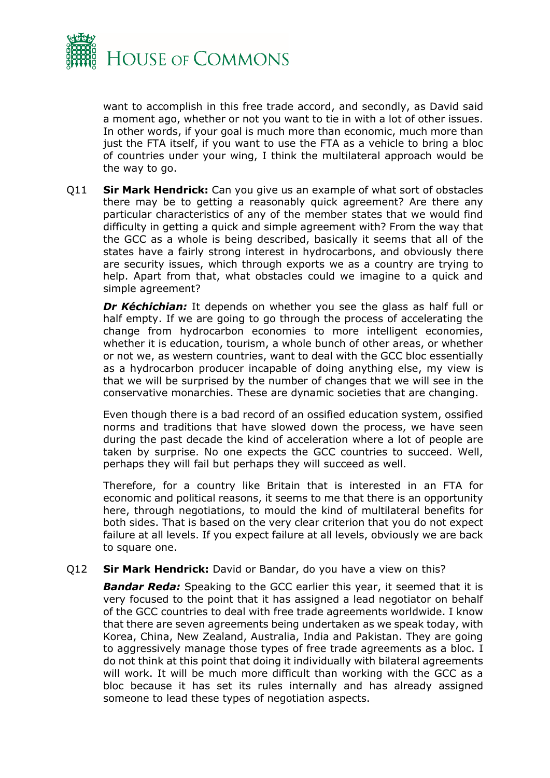

want to accomplish in this free trade accord, and secondly, as David said a moment ago, whether or not you want to tie in with a lot of other issues. In other words, if your goal is much more than economic, much more than just the FTA itself, if you want to use the FTA as a vehicle to bring a bloc of countries under your wing, I think the multilateral approach would be the way to go.

Q11 **Sir Mark Hendrick:** Can you give us an example of what sort of obstacles there may be to getting a reasonably quick agreement? Are there any particular characteristics of any of the member states that we would find difficulty in getting a quick and simple agreement with? From the way that the GCC as a whole is being described, basically it seems that all of the states have a fairly strong interest in hydrocarbons, and obviously there are security issues, which through exports we as a country are trying to help. Apart from that, what obstacles could we imagine to a quick and simple agreement?

*Dr Kéchichian:* It depends on whether you see the glass as half full or half empty. If we are going to go through the process of accelerating the change from hydrocarbon economies to more intelligent economies, whether it is education, tourism, a whole bunch of other areas, or whether or not we, as western countries, want to deal with the GCC bloc essentially as a hydrocarbon producer incapable of doing anything else, my view is that we will be surprised by the number of changes that we will see in the conservative monarchies. These are dynamic societies that are changing.

Even though there is a bad record of an ossified education system, ossified norms and traditions that have slowed down the process, we have seen during the past decade the kind of acceleration where a lot of people are taken by surprise. No one expects the GCC countries to succeed. Well, perhaps they will fail but perhaps they will succeed as well.

Therefore, for a country like Britain that is interested in an FTA for economic and political reasons, it seems to me that there is an opportunity here, through negotiations, to mould the kind of multilateral benefits for both sides. That is based on the very clear criterion that you do not expect failure at all levels. If you expect failure at all levels, obviously we are back to square one.

## Q12 **Sir Mark Hendrick:** David or Bandar, do you have a view on this?

*Bandar Reda:* Speaking to the GCC earlier this year, it seemed that it is very focused to the point that it has assigned a lead negotiator on behalf of the GCC countries to deal with free trade agreements worldwide. I know that there are seven agreements being undertaken as we speak today, with Korea, China, New Zealand, Australia, India and Pakistan. They are going to aggressively manage those types of free trade agreements as a bloc. I do not think at this point that doing it individually with bilateral agreements will work. It will be much more difficult than working with the GCC as a bloc because it has set its rules internally and has already assigned someone to lead these types of negotiation aspects.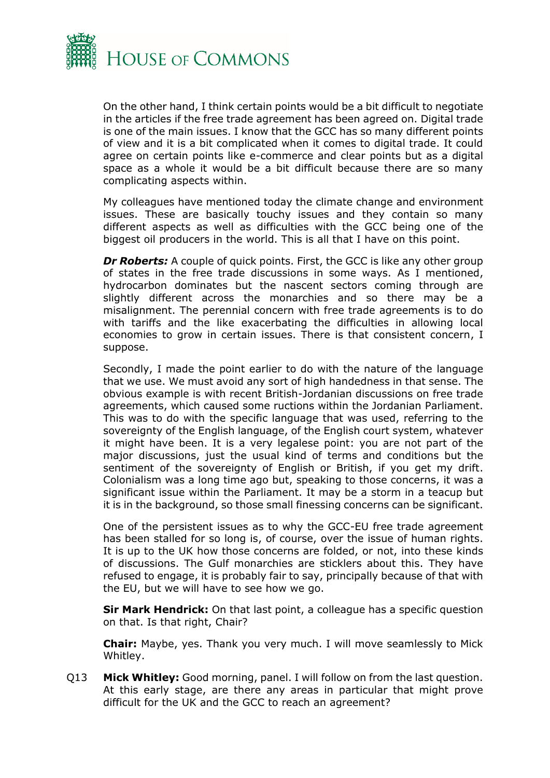

On the other hand, I think certain points would be a bit difficult to negotiate in the articles if the free trade agreement has been agreed on. Digital trade is one of the main issues. I know that the GCC has so many different points of view and it is a bit complicated when it comes to digital trade. It could agree on certain points like e-commerce and clear points but as a digital space as a whole it would be a bit difficult because there are so many complicating aspects within.

My colleagues have mentioned today the climate change and environment issues. These are basically touchy issues and they contain so many different aspects as well as difficulties with the GCC being one of the biggest oil producers in the world. This is all that I have on this point.

*Dr Roberts:* A couple of quick points. First, the GCC is like any other group of states in the free trade discussions in some ways. As I mentioned, hydrocarbon dominates but the nascent sectors coming through are slightly different across the monarchies and so there may be a misalignment. The perennial concern with free trade agreements is to do with tariffs and the like exacerbating the difficulties in allowing local economies to grow in certain issues. There is that consistent concern, I suppose.

Secondly, I made the point earlier to do with the nature of the language that we use. We must avoid any sort of high handedness in that sense. The obvious example is with recent British-Jordanian discussions on free trade agreements, which caused some ructions within the Jordanian Parliament. This was to do with the specific language that was used, referring to the sovereignty of the English language, of the English court system, whatever it might have been. It is a very legalese point: you are not part of the major discussions, just the usual kind of terms and conditions but the sentiment of the sovereignty of English or British, if you get my drift. Colonialism was a long time ago but, speaking to those concerns, it was a significant issue within the Parliament. It may be a storm in a teacup but it is in the background, so those small finessing concerns can be significant.

One of the persistent issues as to why the GCC-EU free trade agreement has been stalled for so long is, of course, over the issue of human rights. It is up to the UK how those concerns are folded, or not, into these kinds of discussions. The Gulf monarchies are sticklers about this. They have refused to engage, it is probably fair to say, principally because of that with the EU, but we will have to see how we go.

**Sir Mark Hendrick:** On that last point, a colleague has a specific question on that. Is that right, Chair?

**Chair:** Maybe, yes. Thank you very much. I will move seamlessly to Mick Whitley.

Q13 **Mick Whitley:** Good morning, panel. I will follow on from the last question. At this early stage, are there any areas in particular that might prove difficult for the UK and the GCC to reach an agreement?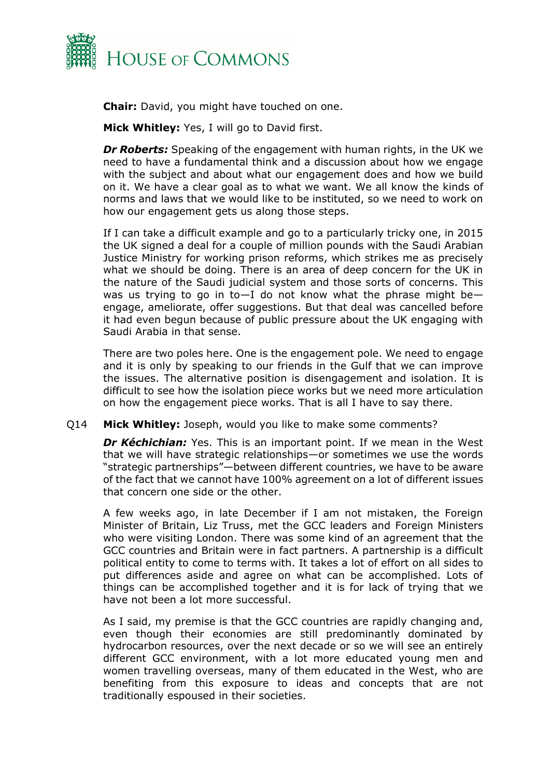

**Chair:** David, you might have touched on one.

**Mick Whitley:** Yes, I will go to David first.

*Dr Roberts:* Speaking of the engagement with human rights, in the UK we need to have a fundamental think and a discussion about how we engage with the subject and about what our engagement does and how we build on it. We have a clear goal as to what we want. We all know the kinds of norms and laws that we would like to be instituted, so we need to work on how our engagement gets us along those steps.

If I can take a difficult example and go to a particularly tricky one, in 2015 the UK signed a deal for a couple of million pounds with the Saudi Arabian Justice Ministry for working prison reforms, which strikes me as precisely what we should be doing. There is an area of deep concern for the UK in the nature of the Saudi judicial system and those sorts of concerns. This was us trying to go in to $-1$  do not know what the phrase might beengage, ameliorate, offer suggestions. But that deal was cancelled before it had even begun because of public pressure about the UK engaging with Saudi Arabia in that sense.

There are two poles here. One is the engagement pole. We need to engage and it is only by speaking to our friends in the Gulf that we can improve the issues. The alternative position is disengagement and isolation. It is difficult to see how the isolation piece works but we need more articulation on how the engagement piece works. That is all I have to say there.

## Q14 **Mick Whitley:** Joseph, would you like to make some comments?

*Dr Kéchichian:* Yes. This is an important point. If we mean in the West that we will have strategic relationships—or sometimes we use the words "strategic partnerships"—between different countries, we have to be aware of the fact that we cannot have 100% agreement on a lot of different issues that concern one side or the other.

A few weeks ago, in late December if I am not mistaken, the Foreign Minister of Britain, Liz Truss, met the GCC leaders and Foreign Ministers who were visiting London. There was some kind of an agreement that the GCC countries and Britain were in fact partners. A partnership is a difficult political entity to come to terms with. It takes a lot of effort on all sides to put differences aside and agree on what can be accomplished. Lots of things can be accomplished together and it is for lack of trying that we have not been a lot more successful.

As I said, my premise is that the GCC countries are rapidly changing and, even though their economies are still predominantly dominated by hydrocarbon resources, over the next decade or so we will see an entirely different GCC environment, with a lot more educated young men and women travelling overseas, many of them educated in the West, who are benefiting from this exposure to ideas and concepts that are not traditionally espoused in their societies.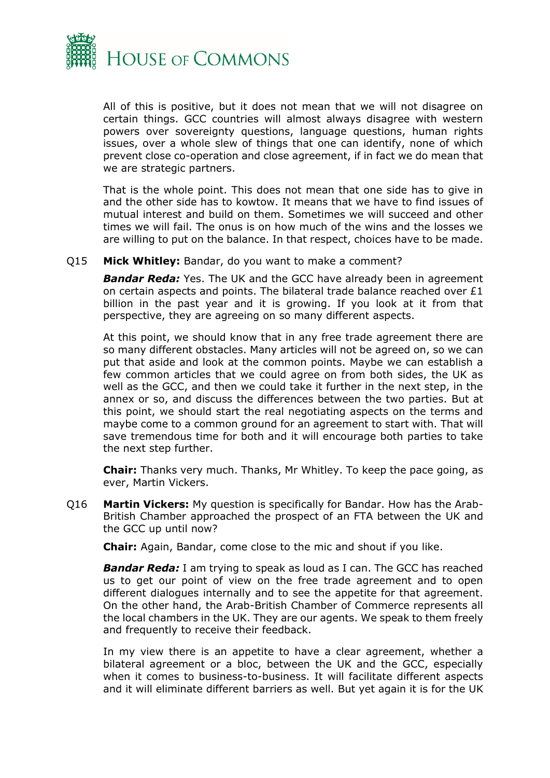

All of this is positive, but it does not mean that we will not disagree on certain things. GCC countries will almost always disagree with western powers over sovereignty questions, language questions, human rights issues, over a whole slew of things that one can identify, none of which prevent close co-operation and close agreement, if in fact we do mean that we are strategic partners.

That is the whole point. This does not mean that one side has to give in and the other side has to kowtow. It means that we have to find issues of mutual interest and build on them. Sometimes we will succeed and other times we will fail. The onus is on how much of the wins and the losses we are willing to put on the balance. In that respect, choices have to be made.

Q15 **Mick Whitley:** Bandar, do you want to make a comment?

*Bandar Reda:* Yes. The UK and the GCC have already been in agreement on certain aspects and points. The bilateral trade balance reached over  $£1$ billion in the past year and it is growing. If you look at it from that perspective, they are agreeing on so many different aspects.

At this point, we should know that in any free trade agreement there are so many different obstacles. Many articles will not be agreed on, so we can put that aside and look at the common points. Maybe we can establish a few common articles that we could agree on from both sides, the UK as well as the GCC, and then we could take it further in the next step, in the annex or so, and discuss the differences between the two parties. But at this point, we should start the real negotiating aspects on the terms and maybe come to a common ground for an agreement to start with. That will save tremendous time for both and it will encourage both parties to take the next step further.

**Chair:** Thanks very much. Thanks, Mr Whitley. To keep the pace going, as ever, Martin Vickers.

Q16 **Martin Vickers:** My question is specifically for Bandar. How has the Arab-British Chamber approached the prospect of an FTA between the UK and the GCC up until now?

**Chair:** Again, Bandar, come close to the mic and shout if you like.

*Bandar Reda:* I am trying to speak as loud as I can. The GCC has reached us to get our point of view on the free trade agreement and to open different dialogues internally and to see the appetite for that agreement. On the other hand, the Arab-British Chamber of Commerce represents all the local chambers in the UK. They are our agents. We speak to them freely and frequently to receive their feedback.

In my view there is an appetite to have a clear agreement, whether a bilateral agreement or a bloc, between the UK and the GCC, especially when it comes to business-to-business. It will facilitate different aspects and it will eliminate different barriers as well. But yet again it is for the UK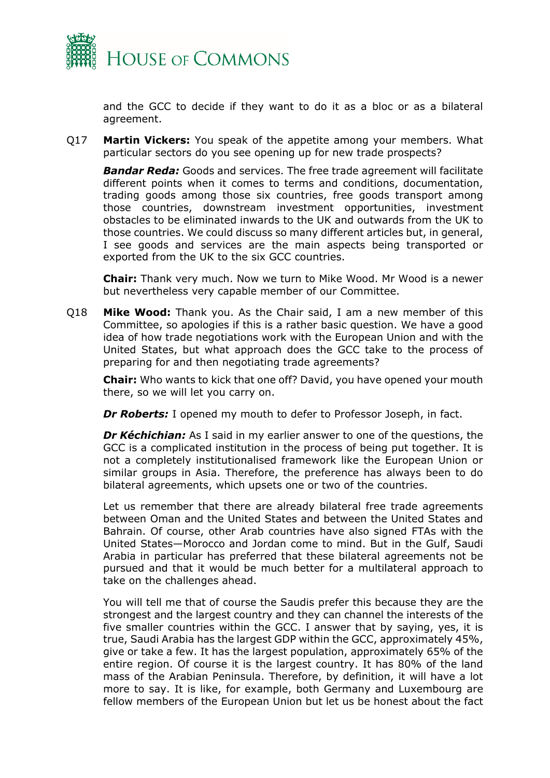

and the GCC to decide if they want to do it as a bloc or as a bilateral agreement.

Q17 **Martin Vickers:** You speak of the appetite among your members. What particular sectors do you see opening up for new trade prospects?

*Bandar Reda:* Goods and services. The free trade agreement will facilitate different points when it comes to terms and conditions, documentation, trading goods among those six countries, free goods transport among those countries, downstream investment opportunities, investment obstacles to be eliminated inwards to the UK and outwards from the UK to those countries. We could discuss so many different articles but, in general, I see goods and services are the main aspects being transported or exported from the UK to the six GCC countries.

**Chair:** Thank very much. Now we turn to Mike Wood. Mr Wood is a newer but nevertheless very capable member of our Committee.

Q18 **Mike Wood:** Thank you. As the Chair said, I am a new member of this Committee, so apologies if this is a rather basic question. We have a good idea of how trade negotiations work with the European Union and with the United States, but what approach does the GCC take to the process of preparing for and then negotiating trade agreements?

**Chair:** Who wants to kick that one off? David, you have opened your mouth there, so we will let you carry on.

**Dr Roberts:** I opened my mouth to defer to Professor Joseph, in fact.

*Dr Kéchichian:* As I said in my earlier answer to one of the questions, the GCC is a complicated institution in the process of being put together. It is not a completely institutionalised framework like the European Union or similar groups in Asia. Therefore, the preference has always been to do bilateral agreements, which upsets one or two of the countries.

Let us remember that there are already bilateral free trade agreements between Oman and the United States and between the United States and Bahrain. Of course, other Arab countries have also signed FTAs with the United States—Morocco and Jordan come to mind. But in the Gulf, Saudi Arabia in particular has preferred that these bilateral agreements not be pursued and that it would be much better for a multilateral approach to take on the challenges ahead.

You will tell me that of course the Saudis prefer this because they are the strongest and the largest country and they can channel the interests of the five smaller countries within the GCC. I answer that by saying, yes, it is true, Saudi Arabia has the largest GDP within the GCC, approximately 45%, give or take a few. It has the largest population, approximately 65% of the entire region. Of course it is the largest country. It has 80% of the land mass of the Arabian Peninsula. Therefore, by definition, it will have a lot more to say. It is like, for example, both Germany and Luxembourg are fellow members of the European Union but let us be honest about the fact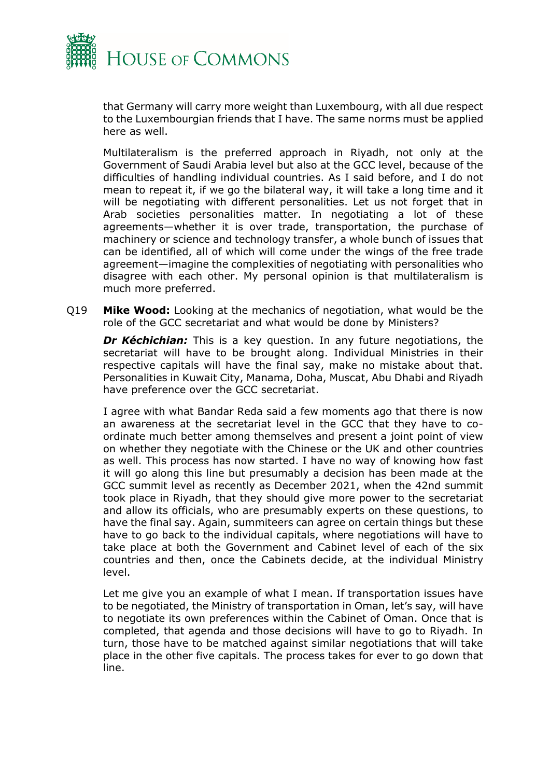

that Germany will carry more weight than Luxembourg, with all due respect to the Luxembourgian friends that I have. The same norms must be applied here as well.

Multilateralism is the preferred approach in Riyadh, not only at the Government of Saudi Arabia level but also at the GCC level, because of the difficulties of handling individual countries. As I said before, and I do not mean to repeat it, if we go the bilateral way, it will take a long time and it will be negotiating with different personalities. Let us not forget that in Arab societies personalities matter. In negotiating a lot of these agreements—whether it is over trade, transportation, the purchase of machinery or science and technology transfer, a whole bunch of issues that can be identified, all of which will come under the wings of the free trade agreement—imagine the complexities of negotiating with personalities who disagree with each other. My personal opinion is that multilateralism is much more preferred.

Q19 **Mike Wood:** Looking at the mechanics of negotiation, what would be the role of the GCC secretariat and what would be done by Ministers?

*Dr Kéchichian:* This is a key question. In any future negotiations, the secretariat will have to be brought along. Individual Ministries in their respective capitals will have the final say, make no mistake about that. Personalities in Kuwait City, Manama, Doha, Muscat, Abu Dhabi and Riyadh have preference over the GCC secretariat.

I agree with what Bandar Reda said a few moments ago that there is now an awareness at the secretariat level in the GCC that they have to coordinate much better among themselves and present a joint point of view on whether they negotiate with the Chinese or the UK and other countries as well. This process has now started. I have no way of knowing how fast it will go along this line but presumably a decision has been made at the GCC summit level as recently as December 2021, when the 42nd summit took place in Riyadh, that they should give more power to the secretariat and allow its officials, who are presumably experts on these questions, to have the final say. Again, summiteers can agree on certain things but these have to go back to the individual capitals, where negotiations will have to take place at both the Government and Cabinet level of each of the six countries and then, once the Cabinets decide, at the individual Ministry level.

Let me give you an example of what I mean. If transportation issues have to be negotiated, the Ministry of transportation in Oman, let's say, will have to negotiate its own preferences within the Cabinet of Oman. Once that is completed, that agenda and those decisions will have to go to Riyadh. In turn, those have to be matched against similar negotiations that will take place in the other five capitals. The process takes for ever to go down that line.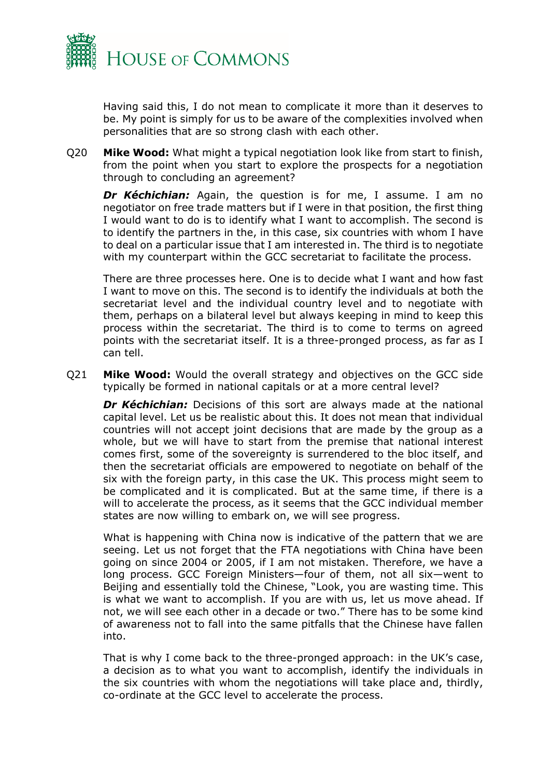

Having said this, I do not mean to complicate it more than it deserves to be. My point is simply for us to be aware of the complexities involved when personalities that are so strong clash with each other.

Q20 **Mike Wood:** What might a typical negotiation look like from start to finish, from the point when you start to explore the prospects for a negotiation through to concluding an agreement?

**Dr Kéchichian:** Again, the question is for me, I assume. I am no negotiator on free trade matters but if I were in that position, the first thing I would want to do is to identify what I want to accomplish. The second is to identify the partners in the, in this case, six countries with whom I have to deal on a particular issue that I am interested in. The third is to negotiate with my counterpart within the GCC secretariat to facilitate the process.

There are three processes here. One is to decide what I want and how fast I want to move on this. The second is to identify the individuals at both the secretariat level and the individual country level and to negotiate with them, perhaps on a bilateral level but always keeping in mind to keep this process within the secretariat. The third is to come to terms on agreed points with the secretariat itself. It is a three-pronged process, as far as I can tell.

Q21 **Mike Wood:** Would the overall strategy and objectives on the GCC side typically be formed in national capitals or at a more central level?

*Dr Kéchichian:* Decisions of this sort are always made at the national capital level. Let us be realistic about this. It does not mean that individual countries will not accept joint decisions that are made by the group as a whole, but we will have to start from the premise that national interest comes first, some of the sovereignty is surrendered to the bloc itself, and then the secretariat officials are empowered to negotiate on behalf of the six with the foreign party, in this case the UK. This process might seem to be complicated and it is complicated. But at the same time, if there is a will to accelerate the process, as it seems that the GCC individual member states are now willing to embark on, we will see progress.

What is happening with China now is indicative of the pattern that we are seeing. Let us not forget that the FTA negotiations with China have been going on since 2004 or 2005, if I am not mistaken. Therefore, we have a long process. GCC Foreign Ministers—four of them, not all six—went to Beijing and essentially told the Chinese, "Look, you are wasting time. This is what we want to accomplish. If you are with us, let us move ahead. If not, we will see each other in a decade or two." There has to be some kind of awareness not to fall into the same pitfalls that the Chinese have fallen into.

That is why I come back to the three-pronged approach: in the UK's case, a decision as to what you want to accomplish, identify the individuals in the six countries with whom the negotiations will take place and, thirdly, co-ordinate at the GCC level to accelerate the process.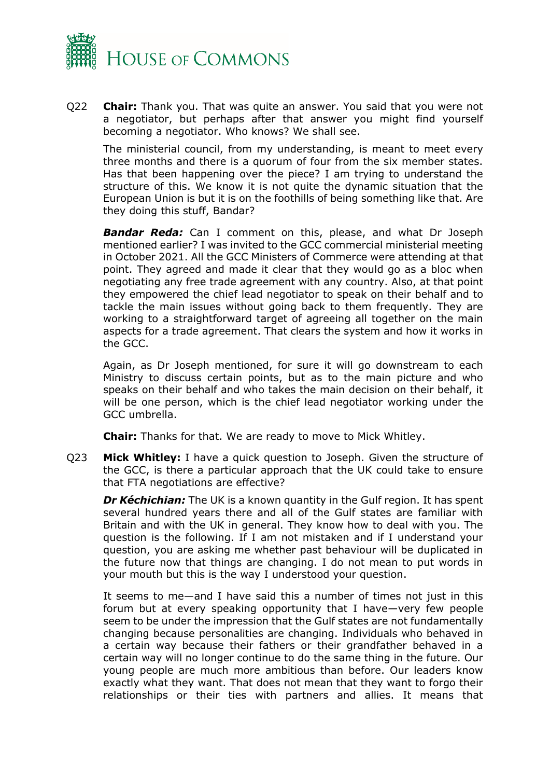

Q22 **Chair:** Thank you. That was quite an answer. You said that you were not a negotiator, but perhaps after that answer you might find yourself becoming a negotiator. Who knows? We shall see.

The ministerial council, from my understanding, is meant to meet every three months and there is a quorum of four from the six member states. Has that been happening over the piece? I am trying to understand the structure of this. We know it is not quite the dynamic situation that the European Union is but it is on the foothills of being something like that. Are they doing this stuff, Bandar?

*Bandar Reda:* Can I comment on this, please, and what Dr Joseph mentioned earlier? I was invited to the GCC commercial ministerial meeting in October 2021. All the GCC Ministers of Commerce were attending at that point. They agreed and made it clear that they would go as a bloc when negotiating any free trade agreement with any country. Also, at that point they empowered the chief lead negotiator to speak on their behalf and to tackle the main issues without going back to them frequently. They are working to a straightforward target of agreeing all together on the main aspects for a trade agreement. That clears the system and how it works in the GCC.

Again, as Dr Joseph mentioned, for sure it will go downstream to each Ministry to discuss certain points, but as to the main picture and who speaks on their behalf and who takes the main decision on their behalf, it will be one person, which is the chief lead negotiator working under the GCC umbrella.

**Chair:** Thanks for that. We are ready to move to Mick Whitley.

Q23 **Mick Whitley:** I have a quick question to Joseph. Given the structure of the GCC, is there a particular approach that the UK could take to ensure that FTA negotiations are effective?

*Dr Kéchichian:* The UK is a known quantity in the Gulf region. It has spent several hundred years there and all of the Gulf states are familiar with Britain and with the UK in general. They know how to deal with you. The question is the following. If I am not mistaken and if I understand your question, you are asking me whether past behaviour will be duplicated in the future now that things are changing. I do not mean to put words in your mouth but this is the way I understood your question.

It seems to me—and I have said this a number of times not just in this forum but at every speaking opportunity that I have—very few people seem to be under the impression that the Gulf states are not fundamentally changing because personalities are changing. Individuals who behaved in a certain way because their fathers or their grandfather behaved in a certain way will no longer continue to do the same thing in the future. Our young people are much more ambitious than before. Our leaders know exactly what they want. That does not mean that they want to forgo their relationships or their ties with partners and allies. It means that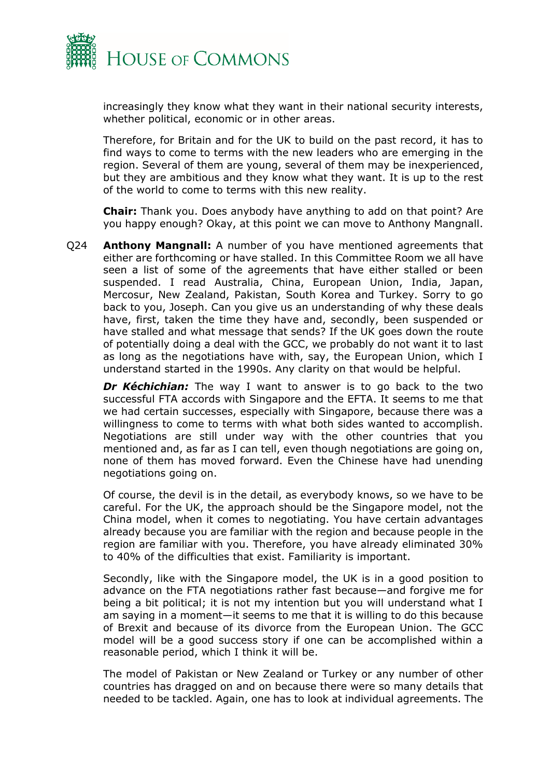

increasingly they know what they want in their national security interests, whether political, economic or in other areas.

Therefore, for Britain and for the UK to build on the past record, it has to find ways to come to terms with the new leaders who are emerging in the region. Several of them are young, several of them may be inexperienced, but they are ambitious and they know what they want. It is up to the rest of the world to come to terms with this new reality.

**Chair:** Thank you. Does anybody have anything to add on that point? Are you happy enough? Okay, at this point we can move to Anthony Mangnall.

Q24 **Anthony Mangnall:** A number of you have mentioned agreements that either are forthcoming or have stalled. In this Committee Room we all have seen a list of some of the agreements that have either stalled or been suspended. I read Australia, China, European Union, India, Japan, Mercosur, New Zealand, Pakistan, South Korea and Turkey. Sorry to go back to you, Joseph. Can you give us an understanding of why these deals have, first, taken the time they have and, secondly, been suspended or have stalled and what message that sends? If the UK goes down the route of potentially doing a deal with the GCC, we probably do not want it to last as long as the negotiations have with, say, the European Union, which I understand started in the 1990s. Any clarity on that would be helpful.

**Dr Kéchichian:** The way I want to answer is to go back to the two successful FTA accords with Singapore and the EFTA. It seems to me that we had certain successes, especially with Singapore, because there was a willingness to come to terms with what both sides wanted to accomplish. Negotiations are still under way with the other countries that you mentioned and, as far as I can tell, even though negotiations are going on, none of them has moved forward. Even the Chinese have had unending negotiations going on.

Of course, the devil is in the detail, as everybody knows, so we have to be careful. For the UK, the approach should be the Singapore model, not the China model, when it comes to negotiating. You have certain advantages already because you are familiar with the region and because people in the region are familiar with you. Therefore, you have already eliminated 30% to 40% of the difficulties that exist. Familiarity is important.

Secondly, like with the Singapore model, the UK is in a good position to advance on the FTA negotiations rather fast because—and forgive me for being a bit political; it is not my intention but you will understand what I am saying in a moment—it seems to me that it is willing to do this because of Brexit and because of its divorce from the European Union. The GCC model will be a good success story if one can be accomplished within a reasonable period, which I think it will be.

The model of Pakistan or New Zealand or Turkey or any number of other countries has dragged on and on because there were so many details that needed to be tackled. Again, one has to look at individual agreements. The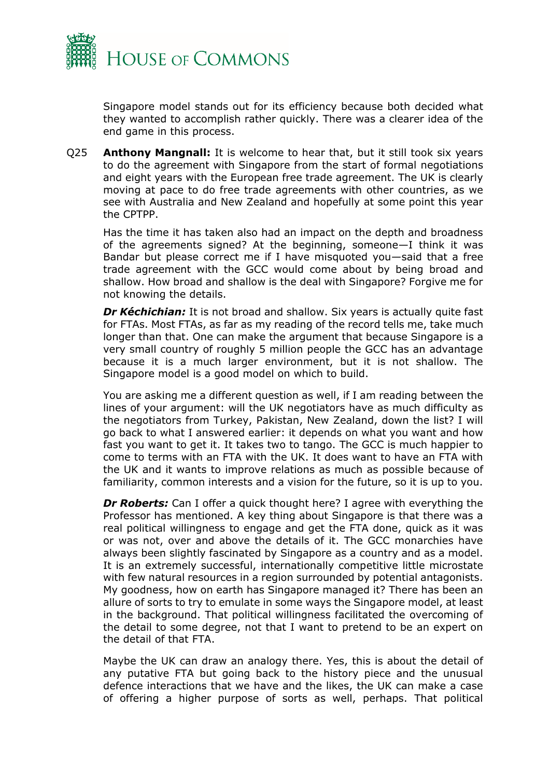

Singapore model stands out for its efficiency because both decided what they wanted to accomplish rather quickly. There was a clearer idea of the end game in this process.

Q25 **Anthony Mangnall:** It is welcome to hear that, but it still took six years to do the agreement with Singapore from the start of formal negotiations and eight years with the European free trade agreement. The UK is clearly moving at pace to do free trade agreements with other countries, as we see with Australia and New Zealand and hopefully at some point this year the CPTPP.

Has the time it has taken also had an impact on the depth and broadness of the agreements signed? At the beginning, someone—I think it was Bandar but please correct me if I have misquoted you—said that a free trade agreement with the GCC would come about by being broad and shallow. How broad and shallow is the deal with Singapore? Forgive me for not knowing the details.

**Dr Kéchichian:** It is not broad and shallow. Six years is actually quite fast for FTAs. Most FTAs, as far as my reading of the record tells me, take much longer than that. One can make the argument that because Singapore is a very small country of roughly 5 million people the GCC has an advantage because it is a much larger environment, but it is not shallow. The Singapore model is a good model on which to build.

You are asking me a different question as well, if I am reading between the lines of your argument: will the UK negotiators have as much difficulty as the negotiators from Turkey, Pakistan, New Zealand, down the list? I will go back to what I answered earlier: it depends on what you want and how fast you want to get it. It takes two to tango. The GCC is much happier to come to terms with an FTA with the UK. It does want to have an FTA with the UK and it wants to improve relations as much as possible because of familiarity, common interests and a vision for the future, so it is up to you.

**Dr Roberts:** Can I offer a quick thought here? I agree with everything the Professor has mentioned. A key thing about Singapore is that there was a real political willingness to engage and get the FTA done, quick as it was or was not, over and above the details of it. The GCC monarchies have always been slightly fascinated by Singapore as a country and as a model. It is an extremely successful, internationally competitive little microstate with few natural resources in a region surrounded by potential antagonists. My goodness, how on earth has Singapore managed it? There has been an allure of sorts to try to emulate in some ways the Singapore model, at least in the background. That political willingness facilitated the overcoming of the detail to some degree, not that I want to pretend to be an expert on the detail of that FTA.

Maybe the UK can draw an analogy there. Yes, this is about the detail of any putative FTA but going back to the history piece and the unusual defence interactions that we have and the likes, the UK can make a case of offering a higher purpose of sorts as well, perhaps. That political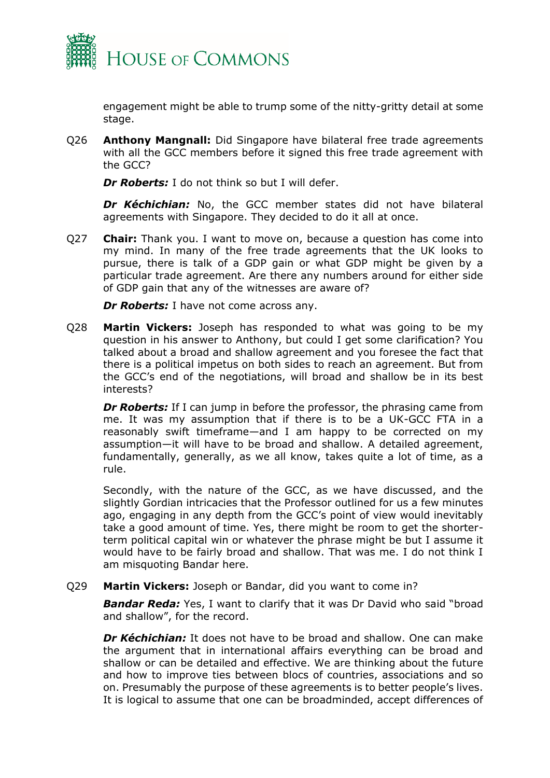

engagement might be able to trump some of the nitty-gritty detail at some stage.

Q26 **Anthony Mangnall:** Did Singapore have bilateral free trade agreements with all the GCC members before it signed this free trade agreement with the GCC?

*Dr Roberts:* I do not think so but I will defer.

*Dr Kéchichian:* No, the GCC member states did not have bilateral agreements with Singapore. They decided to do it all at once.

Q27 **Chair:** Thank you. I want to move on, because a question has come into my mind. In many of the free trade agreements that the UK looks to pursue, there is talk of a GDP gain or what GDP might be given by a particular trade agreement. Are there any numbers around for either side of GDP gain that any of the witnesses are aware of?

*Dr Roberts:* I have not come across any.

Q28 **Martin Vickers:** Joseph has responded to what was going to be my question in his answer to Anthony, but could I get some clarification? You talked about a broad and shallow agreement and you foresee the fact that there is a political impetus on both sides to reach an agreement. But from the GCC's end of the negotiations, will broad and shallow be in its best interests?

*Dr Roberts:* If I can jump in before the professor, the phrasing came from me. It was my assumption that if there is to be a UK-GCC FTA in a reasonably swift timeframe—and I am happy to be corrected on my assumption—it will have to be broad and shallow. A detailed agreement, fundamentally, generally, as we all know, takes quite a lot of time, as a rule.

Secondly, with the nature of the GCC, as we have discussed, and the slightly Gordian intricacies that the Professor outlined for us a few minutes ago, engaging in any depth from the GCC's point of view would inevitably take a good amount of time. Yes, there might be room to get the shorterterm political capital win or whatever the phrase might be but I assume it would have to be fairly broad and shallow. That was me. I do not think I am misquoting Bandar here.

## Q29 **Martin Vickers:** Joseph or Bandar, did you want to come in?

*Bandar Reda:* Yes, I want to clarify that it was Dr David who said "broad and shallow", for the record.

*Dr Kéchichian:* It does not have to be broad and shallow. One can make the argument that in international affairs everything can be broad and shallow or can be detailed and effective. We are thinking about the future and how to improve ties between blocs of countries, associations and so on. Presumably the purpose of these agreements is to better people's lives. It is logical to assume that one can be broadminded, accept differences of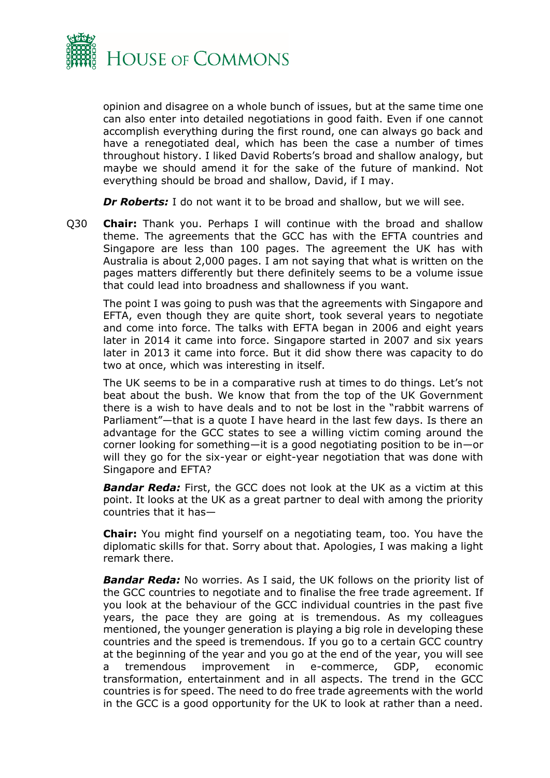

opinion and disagree on a whole bunch of issues, but at the same time one can also enter into detailed negotiations in good faith. Even if one cannot accomplish everything during the first round, one can always go back and have a renegotiated deal, which has been the case a number of times throughout history. I liked David Roberts's broad and shallow analogy, but maybe we should amend it for the sake of the future of mankind. Not everything should be broad and shallow, David, if I may.

**Dr Roberts:** I do not want it to be broad and shallow, but we will see.

Q30 **Chair:** Thank you. Perhaps I will continue with the broad and shallow theme. The agreements that the GCC has with the EFTA countries and Singapore are less than 100 pages. The agreement the UK has with Australia is about 2,000 pages. I am not saying that what is written on the pages matters differently but there definitely seems to be a volume issue that could lead into broadness and shallowness if you want.

The point I was going to push was that the agreements with Singapore and EFTA, even though they are quite short, took several years to negotiate and come into force. The talks with EFTA began in 2006 and eight years later in 2014 it came into force. Singapore started in 2007 and six years later in 2013 it came into force. But it did show there was capacity to do two at once, which was interesting in itself.

The UK seems to be in a comparative rush at times to do things. Let's not beat about the bush. We know that from the top of the UK Government there is a wish to have deals and to not be lost in the "rabbit warrens of Parliament"—that is a quote I have heard in the last few days. Is there an advantage for the GCC states to see a willing victim coming around the corner looking for something—it is a good negotiating position to be in—or will they go for the six-year or eight-year negotiation that was done with Singapore and EFTA?

*Bandar Reda:* First, the GCC does not look at the UK as a victim at this point. It looks at the UK as a great partner to deal with among the priority countries that it has—

**Chair:** You might find yourself on a negotiating team, too. You have the diplomatic skills for that. Sorry about that. Apologies, I was making a light remark there.

*Bandar Reda:* No worries. As I said, the UK follows on the priority list of the GCC countries to negotiate and to finalise the free trade agreement. If you look at the behaviour of the GCC individual countries in the past five years, the pace they are going at is tremendous. As my colleagues mentioned, the younger generation is playing a big role in developing these countries and the speed is tremendous. If you go to a certain GCC country at the beginning of the year and you go at the end of the year, you will see a tremendous improvement in e-commerce, GDP, economic transformation, entertainment and in all aspects. The trend in the GCC countries is for speed. The need to do free trade agreements with the world in the GCC is a good opportunity for the UK to look at rather than a need.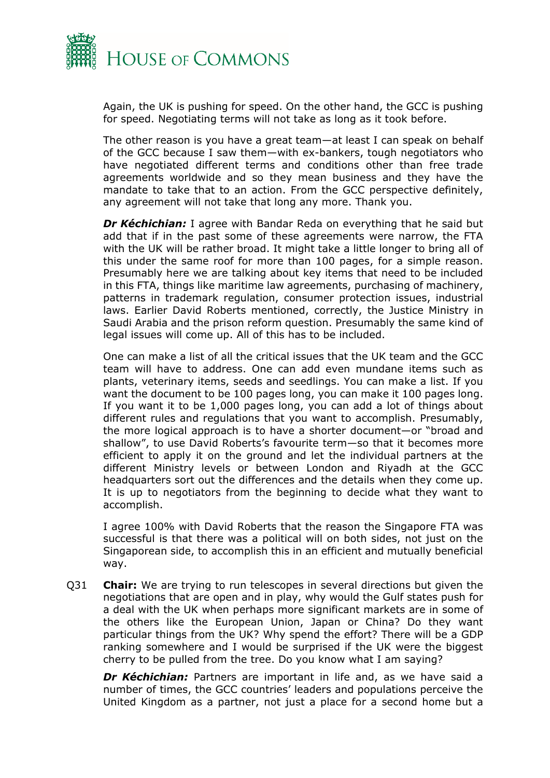

Again, the UK is pushing for speed. On the other hand, the GCC is pushing for speed. Negotiating terms will not take as long as it took before.

The other reason is you have a great team—at least I can speak on behalf of the GCC because I saw them—with ex-bankers, tough negotiators who have negotiated different terms and conditions other than free trade agreements worldwide and so they mean business and they have the mandate to take that to an action. From the GCC perspective definitely, any agreement will not take that long any more. Thank you.

*Dr Kéchichian:* I agree with Bandar Reda on everything that he said but add that if in the past some of these agreements were narrow, the FTA with the UK will be rather broad. It might take a little longer to bring all of this under the same roof for more than 100 pages, for a simple reason. Presumably here we are talking about key items that need to be included in this FTA, things like maritime law agreements, purchasing of machinery, patterns in trademark regulation, consumer protection issues, industrial laws. Earlier David Roberts mentioned, correctly, the Justice Ministry in Saudi Arabia and the prison reform question. Presumably the same kind of legal issues will come up. All of this has to be included.

One can make a list of all the critical issues that the UK team and the GCC team will have to address. One can add even mundane items such as plants, veterinary items, seeds and seedlings. You can make a list. If you want the document to be 100 pages long, you can make it 100 pages long. If you want it to be 1,000 pages long, you can add a lot of things about different rules and regulations that you want to accomplish. Presumably, the more logical approach is to have a shorter document—or "broad and shallow", to use David Roberts's favourite term—so that it becomes more efficient to apply it on the ground and let the individual partners at the different Ministry levels or between London and Riyadh at the GCC headquarters sort out the differences and the details when they come up. It is up to negotiators from the beginning to decide what they want to accomplish.

I agree 100% with David Roberts that the reason the Singapore FTA was successful is that there was a political will on both sides, not just on the Singaporean side, to accomplish this in an efficient and mutually beneficial way.

Q31 **Chair:** We are trying to run telescopes in several directions but given the negotiations that are open and in play, why would the Gulf states push for a deal with the UK when perhaps more significant markets are in some of the others like the European Union, Japan or China? Do they want particular things from the UK? Why spend the effort? There will be a GDP ranking somewhere and I would be surprised if the UK were the biggest cherry to be pulled from the tree. Do you know what I am saying?

*Dr Kéchichian:* Partners are important in life and, as we have said a number of times, the GCC countries' leaders and populations perceive the United Kingdom as a partner, not just a place for a second home but a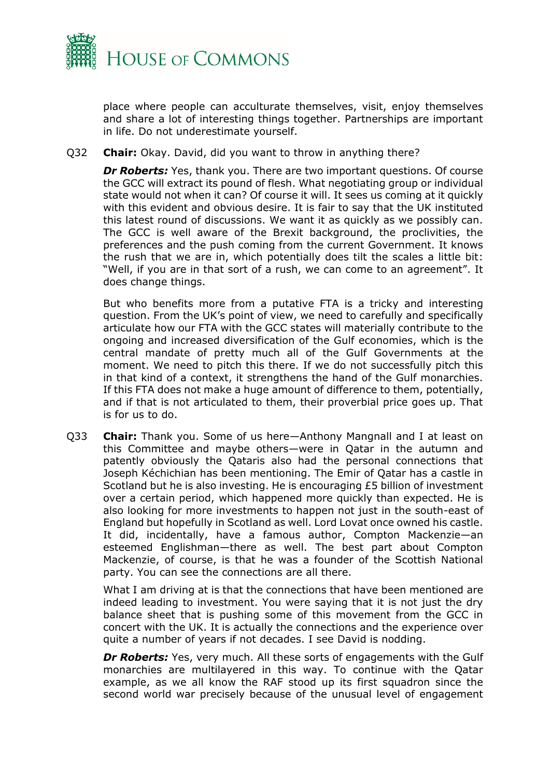

place where people can acculturate themselves, visit, enjoy themselves and share a lot of interesting things together. Partnerships are important in life. Do not underestimate yourself.

Q32 **Chair:** Okay. David, did you want to throw in anything there?

*Dr Roberts:* Yes, thank you. There are two important questions. Of course the GCC will extract its pound of flesh. What negotiating group or individual state would not when it can? Of course it will. It sees us coming at it quickly with this evident and obvious desire. It is fair to say that the UK instituted this latest round of discussions. We want it as quickly as we possibly can. The GCC is well aware of the Brexit background, the proclivities, the preferences and the push coming from the current Government. It knows the rush that we are in, which potentially does tilt the scales a little bit: "Well, if you are in that sort of a rush, we can come to an agreement". It does change things.

But who benefits more from a putative FTA is a tricky and interesting question. From the UK's point of view, we need to carefully and specifically articulate how our FTA with the GCC states will materially contribute to the ongoing and increased diversification of the Gulf economies, which is the central mandate of pretty much all of the Gulf Governments at the moment. We need to pitch this there. If we do not successfully pitch this in that kind of a context, it strengthens the hand of the Gulf monarchies. If this FTA does not make a huge amount of difference to them, potentially, and if that is not articulated to them, their proverbial price goes up. That is for us to do.

Q33 **Chair:** Thank you. Some of us here—Anthony Mangnall and I at least on this Committee and maybe others—were in Qatar in the autumn and patently obviously the Qataris also had the personal connections that Joseph Kéchichian has been mentioning. The Emir of Qatar has a castle in Scotland but he is also investing. He is encouraging £5 billion of investment over a certain period, which happened more quickly than expected. He is also looking for more investments to happen not just in the south-east of England but hopefully in Scotland as well. Lord Lovat once owned his castle. It did, incidentally, have a famous author, Compton Mackenzie—an esteemed Englishman—there as well. The best part about Compton Mackenzie, of course, is that he was a founder of the Scottish National party. You can see the connections are all there.

What I am driving at is that the connections that have been mentioned are indeed leading to investment. You were saying that it is not just the dry balance sheet that is pushing some of this movement from the GCC in concert with the UK. It is actually the connections and the experience over quite a number of years if not decades. I see David is nodding.

**Dr Roberts:** Yes, very much. All these sorts of engagements with the Gulf monarchies are multilayered in this way. To continue with the Qatar example, as we all know the RAF stood up its first squadron since the second world war precisely because of the unusual level of engagement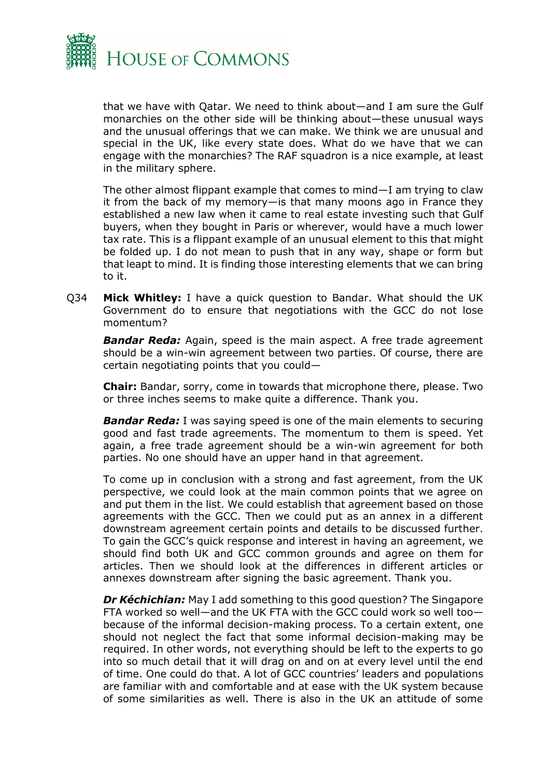

that we have with Qatar. We need to think about—and I am sure the Gulf monarchies on the other side will be thinking about—these unusual ways and the unusual offerings that we can make. We think we are unusual and special in the UK, like every state does. What do we have that we can engage with the monarchies? The RAF squadron is a nice example, at least in the military sphere.

The other almost flippant example that comes to mind—I am trying to claw it from the back of my memory—is that many moons ago in France they established a new law when it came to real estate investing such that Gulf buyers, when they bought in Paris or wherever, would have a much lower tax rate. This is a flippant example of an unusual element to this that might be folded up. I do not mean to push that in any way, shape or form but that leapt to mind. It is finding those interesting elements that we can bring to it.

Q34 **Mick Whitley:** I have a quick question to Bandar. What should the UK Government do to ensure that negotiations with the GCC do not lose momentum?

*Bandar Reda:* Again, speed is the main aspect. A free trade agreement should be a win-win agreement between two parties. Of course, there are certain negotiating points that you could—

**Chair:** Bandar, sorry, come in towards that microphone there, please. Two or three inches seems to make quite a difference. Thank you.

*Bandar Reda:* I was saying speed is one of the main elements to securing good and fast trade agreements. The momentum to them is speed. Yet again, a free trade agreement should be a win-win agreement for both parties. No one should have an upper hand in that agreement.

To come up in conclusion with a strong and fast agreement, from the UK perspective, we could look at the main common points that we agree on and put them in the list. We could establish that agreement based on those agreements with the GCC. Then we could put as an annex in a different downstream agreement certain points and details to be discussed further. To gain the GCC's quick response and interest in having an agreement, we should find both UK and GCC common grounds and agree on them for articles. Then we should look at the differences in different articles or annexes downstream after signing the basic agreement. Thank you.

*Dr Kéchichian:* May I add something to this good question? The Singapore FTA worked so well—and the UK FTA with the GCC could work so well too because of the informal decision-making process. To a certain extent, one should not neglect the fact that some informal decision-making may be required. In other words, not everything should be left to the experts to go into so much detail that it will drag on and on at every level until the end of time. One could do that. A lot of GCC countries' leaders and populations are familiar with and comfortable and at ease with the UK system because of some similarities as well. There is also in the UK an attitude of some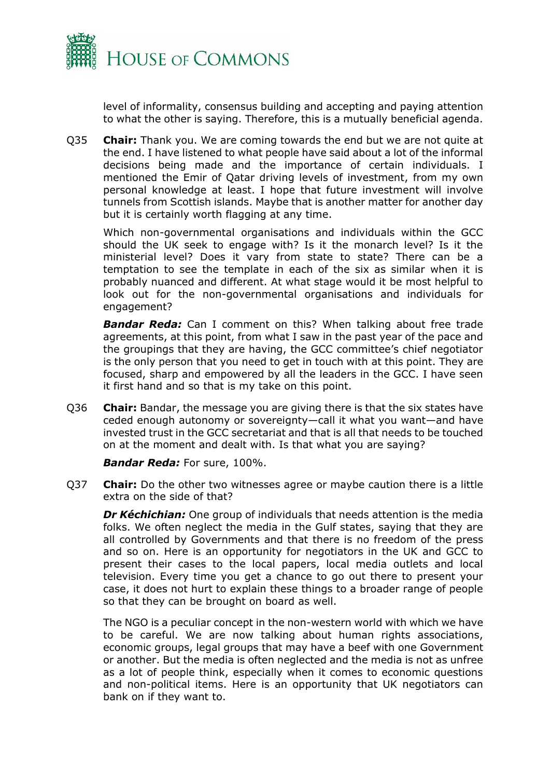

level of informality, consensus building and accepting and paying attention to what the other is saying. Therefore, this is a mutually beneficial agenda.

Q35 **Chair:** Thank you. We are coming towards the end but we are not quite at the end. I have listened to what people have said about a lot of the informal decisions being made and the importance of certain individuals. I mentioned the Emir of Qatar driving levels of investment, from my own personal knowledge at least. I hope that future investment will involve tunnels from Scottish islands. Maybe that is another matter for another day but it is certainly worth flagging at any time.

Which non-governmental organisations and individuals within the GCC should the UK seek to engage with? Is it the monarch level? Is it the ministerial level? Does it vary from state to state? There can be a temptation to see the template in each of the six as similar when it is probably nuanced and different. At what stage would it be most helpful to look out for the non-governmental organisations and individuals for engagement?

*Bandar Reda:* Can I comment on this? When talking about free trade agreements, at this point, from what I saw in the past year of the pace and the groupings that they are having, the GCC committee's chief negotiator is the only person that you need to get in touch with at this point. They are focused, sharp and empowered by all the leaders in the GCC. I have seen it first hand and so that is my take on this point.

Q36 **Chair:** Bandar, the message you are giving there is that the six states have ceded enough autonomy or sovereignty—call it what you want—and have invested trust in the GCC secretariat and that is all that needs to be touched on at the moment and dealt with. Is that what you are saying?

*Bandar Reda:* For sure, 100%.

Q37 **Chair:** Do the other two witnesses agree or maybe caution there is a little extra on the side of that?

*Dr Kéchichian:* One group of individuals that needs attention is the media folks. We often neglect the media in the Gulf states, saying that they are all controlled by Governments and that there is no freedom of the press and so on. Here is an opportunity for negotiators in the UK and GCC to present their cases to the local papers, local media outlets and local television. Every time you get a chance to go out there to present your case, it does not hurt to explain these things to a broader range of people so that they can be brought on board as well.

The NGO is a peculiar concept in the non-western world with which we have to be careful. We are now talking about human rights associations, economic groups, legal groups that may have a beef with one Government or another. But the media is often neglected and the media is not as unfree as a lot of people think, especially when it comes to economic questions and non-political items. Here is an opportunity that UK negotiators can bank on if they want to.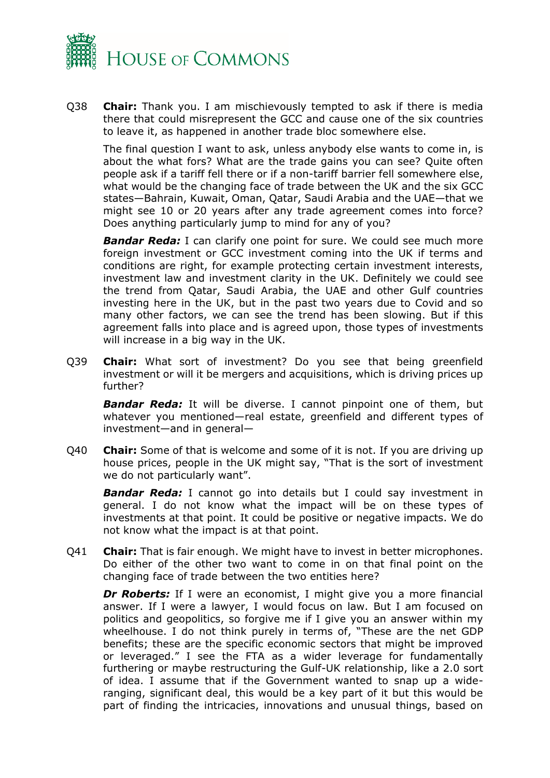

Q38 **Chair:** Thank you. I am mischievously tempted to ask if there is media there that could misrepresent the GCC and cause one of the six countries to leave it, as happened in another trade bloc somewhere else.

The final question I want to ask, unless anybody else wants to come in, is about the what fors? What are the trade gains you can see? Quite often people ask if a tariff fell there or if a non-tariff barrier fell somewhere else, what would be the changing face of trade between the UK and the six GCC states—Bahrain, Kuwait, Oman, Qatar, Saudi Arabia and the UAE—that we might see 10 or 20 years after any trade agreement comes into force? Does anything particularly jump to mind for any of you?

*Bandar Reda:* I can clarify one point for sure. We could see much more foreign investment or GCC investment coming into the UK if terms and conditions are right, for example protecting certain investment interests, investment law and investment clarity in the UK. Definitely we could see the trend from Qatar, Saudi Arabia, the UAE and other Gulf countries investing here in the UK, but in the past two years due to Covid and so many other factors, we can see the trend has been slowing. But if this agreement falls into place and is agreed upon, those types of investments will increase in a big way in the UK.

Q39 **Chair:** What sort of investment? Do you see that being greenfield investment or will it be mergers and acquisitions, which is driving prices up further?

*Bandar Reda:* It will be diverse. I cannot pinpoint one of them, but whatever you mentioned—real estate, greenfield and different types of investment—and in general—

Q40 **Chair:** Some of that is welcome and some of it is not. If you are driving up house prices, people in the UK might say, "That is the sort of investment we do not particularly want".

**Bandar Reda:** I cannot go into details but I could say investment in general. I do not know what the impact will be on these types of investments at that point. It could be positive or negative impacts. We do not know what the impact is at that point.

Q41 **Chair:** That is fair enough. We might have to invest in better microphones. Do either of the other two want to come in on that final point on the changing face of trade between the two entities here?

**Dr Roberts:** If I were an economist, I might give you a more financial answer. If I were a lawyer, I would focus on law. But I am focused on politics and geopolitics, so forgive me if I give you an answer within my wheelhouse. I do not think purely in terms of, "These are the net GDP benefits; these are the specific economic sectors that might be improved or leveraged." I see the FTA as a wider leverage for fundamentally furthering or maybe restructuring the Gulf-UK relationship, like a 2.0 sort of idea. I assume that if the Government wanted to snap up a wideranging, significant deal, this would be a key part of it but this would be part of finding the intricacies, innovations and unusual things, based on